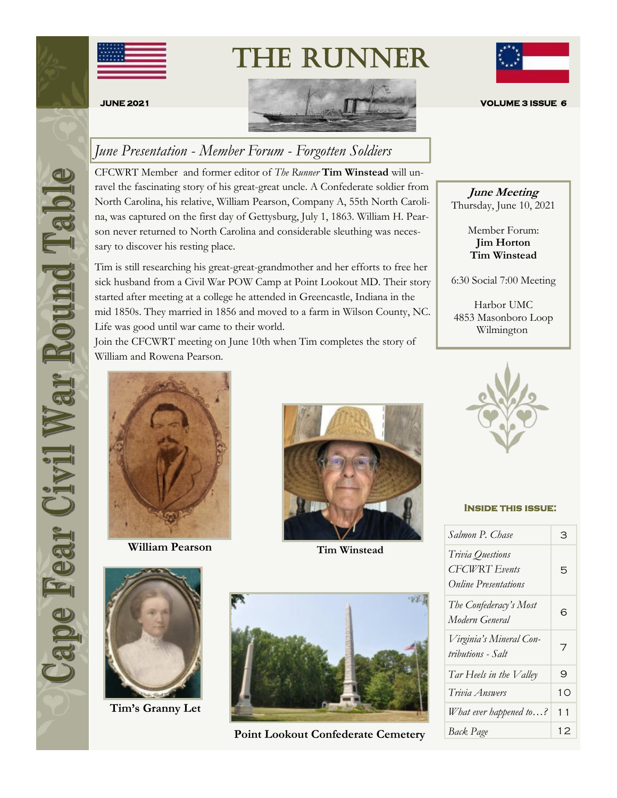

The Runner



# *June Presentation - Member Forum - Forgotten Soldiers*

CFCWRT Member and former editor of *The Runner* **Tim Winstead** will unravel the fascinating story of his great-great uncle. A Confederate soldier from North Carolina, his relative, William Pearson, Company A, 55th North Carolina, was captured on the first day of Gettysburg, July 1, 1863. William H. Pearson never returned to North Carolina and considerable sleuthing was necessary to discover his resting place.

Tim is still researching his great-great-grandmother and her efforts to free her sick husband from a Civil War POW Camp at Point Lookout MD. Their story started after meeting at a college he attended in Greencastle, Indiana in the mid 1850s. They married in 1856 and moved to a farm in Wilson County, NC. Life was good until war came to their world.

Join the CFCWRT meeting on June 10th when Tim completes the story of William and Rowena Pearson.



**William Pearson**



**Tim Winstead**



**Tim's Granny Let**



**Point Lookout Confederate Cemetery**



**June Meeting** Thursday, June 10, 2021

> Member Forum: **Jim Horton Tim Winstead**

6:30 Social 7:00 Meeting

Harbor UMC 4853 Masonboro Loop Wilmington



#### **Inside this issue:**

| Salmon P. Chase                                                         | З  |
|-------------------------------------------------------------------------|----|
| Trivia Questions<br><b>CFCWRT</b> Events<br><b>Online Presentations</b> | 5  |
| The Confederacy's Most<br>Modern General                                | 6  |
| Virginia's Mineral Con-<br>tributions - Salt                            | 7  |
| Tar Heels in the Valley                                                 | 9  |
| Trivia Answers                                                          | 10 |
| What ever happened to?                                                  | 11 |
| Back Page                                                               | 12 |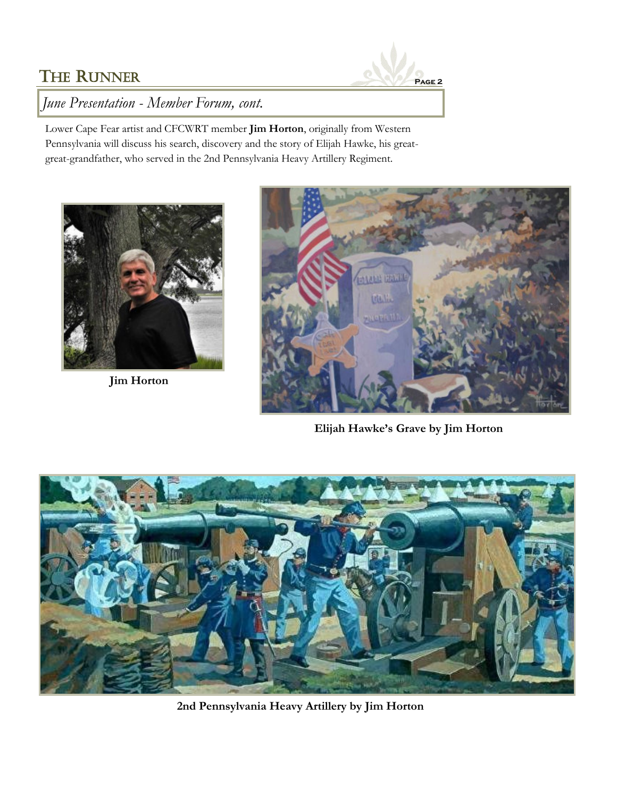

*June Presentation - Member Forum, cont.*

Lower Cape Fear artist and CFCWRT member **Jim Horton**, originally from Western Pennsylvania will discuss his search, discovery and the story of Elijah Hawke, his greatgreat-grandfather, who served in the 2nd Pennsylvania Heavy Artillery Regiment.



**Jim Horton**



**Elijah Hawke's Grave by Jim Horton**



**2nd Pennsylvania Heavy Artillery by Jim Horton**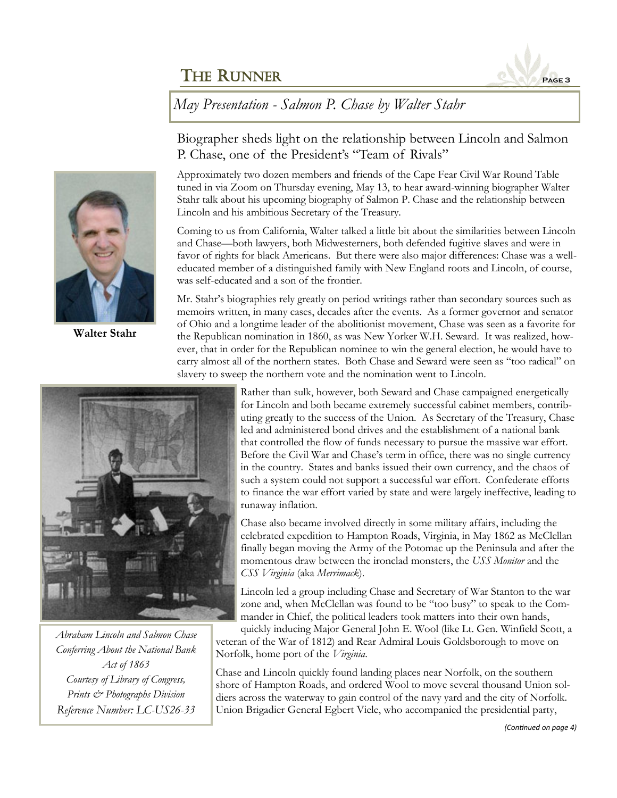

*May Presentation - Salmon P. Chase by Walter Stahr*



**Walter Stahr**

Biographer sheds light on the relationship between Lincoln and Salmon P. Chase, one of the President's "Team of Rivals"

Approximately two dozen members and friends of the Cape Fear Civil War Round Table tuned in via Zoom on Thursday evening, May 13, to hear award-winning biographer Walter Stahr talk about his upcoming biography of Salmon P. Chase and the relationship between Lincoln and his ambitious Secretary of the Treasury.

Coming to us from California, Walter talked a little bit about the similarities between Lincoln and Chase—both lawyers, both Midwesterners, both defended fugitive slaves and were in favor of rights for black Americans. But there were also major differences: Chase was a welleducated member of a distinguished family with New England roots and Lincoln, of course, was self-educated and a son of the frontier.

Mr. Stahr's biographies rely greatly on period writings rather than secondary sources such as memoirs written, in many cases, decades after the events. As a former governor and senator of Ohio and a longtime leader of the abolitionist movement, Chase was seen as a favorite for the Republican nomination in 1860, as was New Yorker W.H. Seward. It was realized, however, that in order for the Republican nominee to win the general election, he would have to carry almost all of the northern states. Both Chase and Seward were seen as "too radical" on slavery to sweep the northern vote and the nomination went to Lincoln.



*Abraham Lincoln and Salmon Chase Conferring About the National Bank Act of 1863 Courtesy of Library of Congress, Prints & Photographs Division Reference Number: LC-US26-33*

Rather than sulk, however, both Seward and Chase campaigned energetically for Lincoln and both became extremely successful cabinet members, contributing greatly to the success of the Union. As Secretary of the Treasury, Chase led and administered bond drives and the establishment of a national bank that controlled the flow of funds necessary to pursue the massive war effort. Before the Civil War and Chase's term in office, there was no single currency in the country. States and banks issued their own currency, and the chaos of such a system could not support a successful war effort. Confederate efforts to finance the war effort varied by state and were largely ineffective, leading to runaway inflation.

Chase also became involved directly in some military affairs, including the celebrated expedition to Hampton Roads, Virginia, in May 1862 as McClellan finally began moving the Army of the Potomac up the Peninsula and after the momentous draw between the ironclad monsters, the *USS Monitor* and the *CSS Virginia* (aka *Merrimack*).

Lincoln led a group including Chase and Secretary of War Stanton to the war zone and, when McClellan was found to be "too busy" to speak to the Commander in Chief, the political leaders took matters into their own hands,

quickly inducing Major General John E. Wool (like Lt. Gen. Winfield Scott, a veteran of the War of 1812) and Rear Admiral Louis Goldsborough to move on Norfolk, home port of the *Virginia*.

Chase and Lincoln quickly found landing places near Norfolk, on the southern shore of Hampton Roads, and ordered Wool to move several thousand Union soldiers across the waterway to gain control of the navy yard and the city of Norfolk. Union Brigadier General Egbert Viele, who accompanied the presidential party,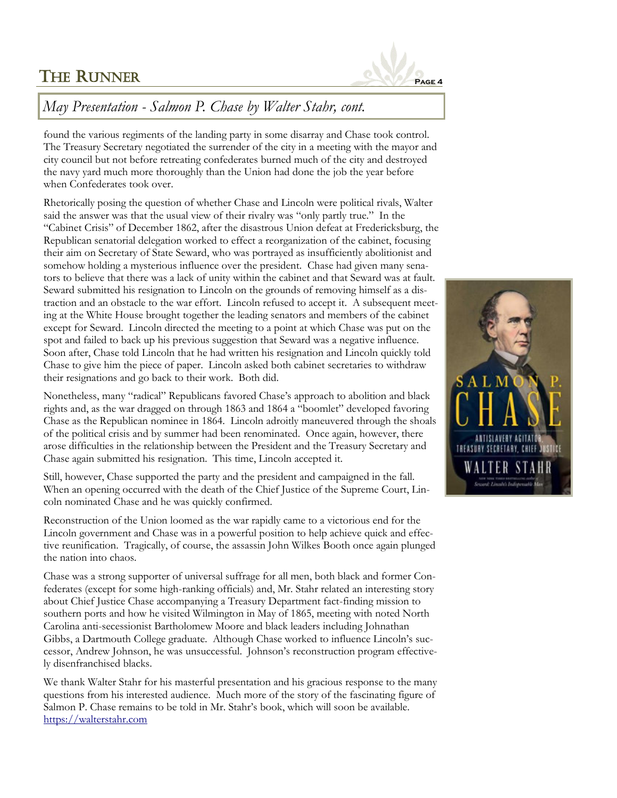

### *May Presentation - Salmon P. Chase by Walter Stahr, cont.*

found the various regiments of the landing party in some disarray and Chase took control. The Treasury Secretary negotiated the surrender of the city in a meeting with the mayor and city council but not before retreating confederates burned much of the city and destroyed the navy yard much more thoroughly than the Union had done the job the year before when Confederates took over.

Rhetorically posing the question of whether Chase and Lincoln were political rivals, Walter said the answer was that the usual view of their rivalry was "only partly true." In the "Cabinet Crisis" of December 1862, after the disastrous Union defeat at Fredericksburg, the Republican senatorial delegation worked to effect a reorganization of the cabinet, focusing their aim on Secretary of State Seward, who was portrayed as insufficiently abolitionist and somehow holding a mysterious influence over the president. Chase had given many senators to believe that there was a lack of unity within the cabinet and that Seward was at fault. Seward submitted his resignation to Lincoln on the grounds of removing himself as a distraction and an obstacle to the war effort. Lincoln refused to accept it. A subsequent meeting at the White House brought together the leading senators and members of the cabinet except for Seward. Lincoln directed the meeting to a point at which Chase was put on the spot and failed to back up his previous suggestion that Seward was a negative influence. Soon after, Chase told Lincoln that he had written his resignation and Lincoln quickly told Chase to give him the piece of paper. Lincoln asked both cabinet secretaries to withdraw their resignations and go back to their work. Both did.

Nonetheless, many "radical" Republicans favored Chase's approach to abolition and black rights and, as the war dragged on through 1863 and 1864 a "boomlet" developed favoring Chase as the Republican nominee in 1864. Lincoln adroitly maneuvered through the shoals of the political crisis and by summer had been renominated. Once again, however, there arose difficulties in the relationship between the President and the Treasury Secretary and Chase again submitted his resignation. This time, Lincoln accepted it.

Still, however, Chase supported the party and the president and campaigned in the fall. When an opening occurred with the death of the Chief Justice of the Supreme Court, Lincoln nominated Chase and he was quickly confirmed.

Reconstruction of the Union loomed as the war rapidly came to a victorious end for the Lincoln government and Chase was in a powerful position to help achieve quick and effective reunification. Tragically, of course, the assassin John Wilkes Booth once again plunged the nation into chaos.

Chase was a strong supporter of universal suffrage for all men, both black and former Confederates (except for some high-ranking officials) and, Mr. Stahr related an interesting story about Chief Justice Chase accompanying a Treasury Department fact-finding mission to southern ports and how he visited Wilmington in May of 1865, meeting with noted North Carolina anti-secessionist Bartholomew Moore and black leaders including Johnathan Gibbs, a Dartmouth College graduate. Although Chase worked to influence Lincoln's successor, Andrew Johnson, he was unsuccessful. Johnson's reconstruction program effectively disenfranchised blacks.

We thank Walter Stahr for his masterful presentation and his gracious response to the many questions from his interested audience. Much more of the story of the fascinating figure of Salmon P. Chase remains to be told in Mr. Stahr's book, which will soon be available. <https://walterstahr.com>

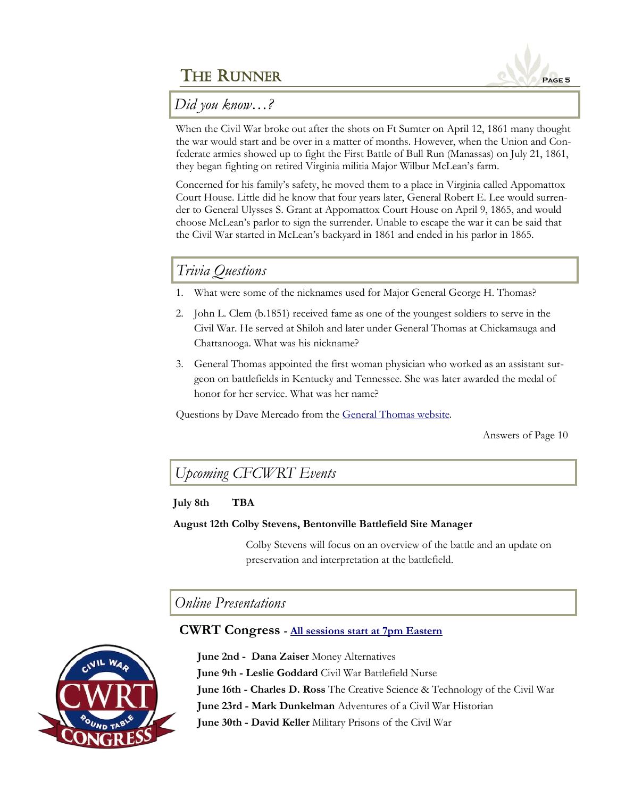

*Did you know…?*

When the Civil War broke out after the shots on Ft Sumter on April 12, 1861 many thought the war would start and be over in a matter of months. However, when the Union and Confederate armies showed up to fight the First Battle of Bull Run (Manassas) on July 21, 1861, they began fighting on retired Virginia militia Major Wilbur McLean's farm.

Concerned for his family's safety, he moved them to a place in Virginia called Appomattox Court House. Little did he know that four years later, General Robert E. Lee would surrender to General Ulysses S. Grant at Appomattox Court House on April 9, 1865, and would choose McLean's parlor to sign the surrender. Unable to escape the war it can be said that the Civil War started in McLean's backyard in 1861 and ended in his parlor in 1865.

## *Trivia Questions*

- 1. What were some of the nicknames used for Major General George H. Thomas?
- 2. John L. Clem (b.1851) received fame as one of the youngest soldiers to serve in the Civil War. He served at Shiloh and later under General Thomas at Chickamauga and Chattanooga. What was his nickname?
- 3. General Thomas appointed the first woman physician who worked as an assistant surgeon on battlefields in Kentucky and Tennessee. She was later awarded the medal of honor for her service. What was her name?

Questions by Dave Mercado from the [General Thomas website.](https://generalthomas.com/trivia-questions/)

Answers of Page 10

*Upcoming CFCWRT Events*

### **July 8th TBA**

### **August 12th Colby Stevens, Bentonville Battlefield Site Manager**

Colby Stevens will focus on an overview of the battle and an update on preservation and interpretation at the battlefield.

*Online Presentations*

### **CWRT Congress - [All sessions start at 7pm Eastern](https://www.cwrtcongress.org/speaker.html)**



**June 2nd - Dana Zaiser** Money Alternatives **June 9th - Leslie Goddard** Civil War Battlefield Nurse **June 16th - Charles D. Ross** The Creative Science & Technology of the Civil War **June 23rd - Mark Dunkelman** Adventures of a Civil War Historian **June 30th - David Keller** Military Prisons of the Civil War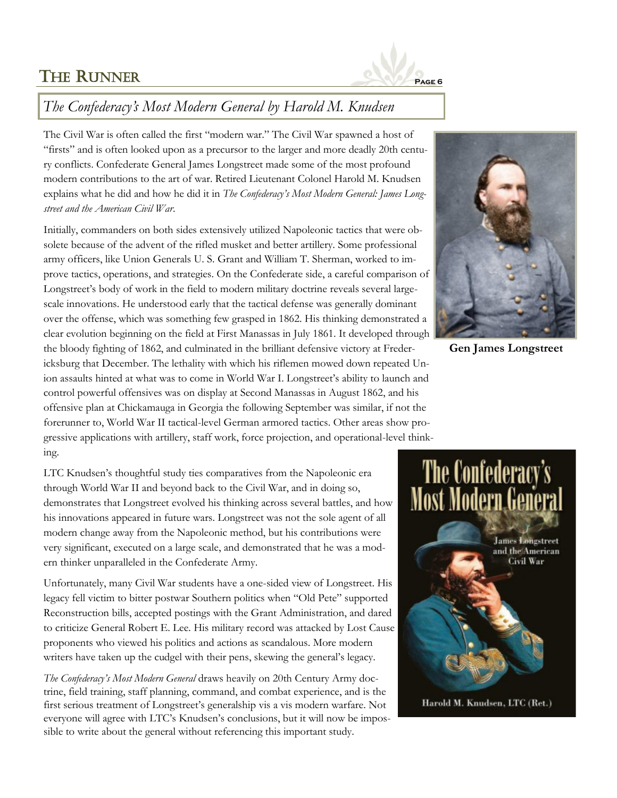

### *The Confederacy's Most Modern General by Harold M. Knudsen*

The Civil War is often called the first "modern war." The Civil War spawned a host of "firsts" and is often looked upon as a precursor to the larger and more deadly 20th century conflicts. Confederate General James Longstreet made some of the most profound modern contributions to the art of war. Retired Lieutenant Colonel Harold M. Knudsen explains what he did and how he did it in *The Confederacy's Most Modern General: James Longstreet and the American Civil War*.

Initially, commanders on both sides extensively utilized Napoleonic tactics that were obsolete because of the advent of the rifled musket and better artillery. Some professional army officers, like Union Generals U. S. Grant and William T. Sherman, worked to improve tactics, operations, and strategies. On the Confederate side, a careful comparison of Longstreet's body of work in the field to modern military doctrine reveals several largescale innovations. He understood early that the tactical defense was generally dominant over the offense, which was something few grasped in 1862. His thinking demonstrated a clear evolution beginning on the field at First Manassas in July 1861. It developed through the bloody fighting of 1862, and culminated in the brilliant defensive victory at Fredericksburg that December. The lethality with which his riflemen mowed down repeated Union assaults hinted at what was to come in World War I. Longstreet's ability to launch and control powerful offensives was on display at Second Manassas in August 1862, and his offensive plan at Chickamauga in Georgia the following September was similar, if not the forerunner to, World War II tactical-level German armored tactics. Other areas show progressive applications with artillery, staff work, force projection, and operational-level thinking.

LTC Knudsen's thoughtful study ties comparatives from the Napoleonic era through World War II and beyond back to the Civil War, and in doing so, demonstrates that Longstreet evolved his thinking across several battles, and how his innovations appeared in future wars. Longstreet was not the sole agent of all modern change away from the Napoleonic method, but his contributions were very significant, executed on a large scale, and demonstrated that he was a modern thinker unparalleled in the Confederate Army.

Unfortunately, many Civil War students have a one-sided view of Longstreet. His legacy fell victim to bitter postwar Southern politics when "Old Pete" supported Reconstruction bills, accepted postings with the Grant Administration, and dared to criticize General Robert E. Lee. His military record was attacked by Lost Cause proponents who viewed his politics and actions as scandalous. More modern writers have taken up the cudgel with their pens, skewing the general's legacy.

*The Confederacy's Most Modern General* draws heavily on 20th Century Army doctrine, field training, staff planning, command, and combat experience, and is the first serious treatment of Longstreet's generalship vis a vis modern warfare. Not everyone will agree with LTC's Knudsen's conclusions, but it will now be impossible to write about the general without referencing this important study.



**Gen James Longstreet**

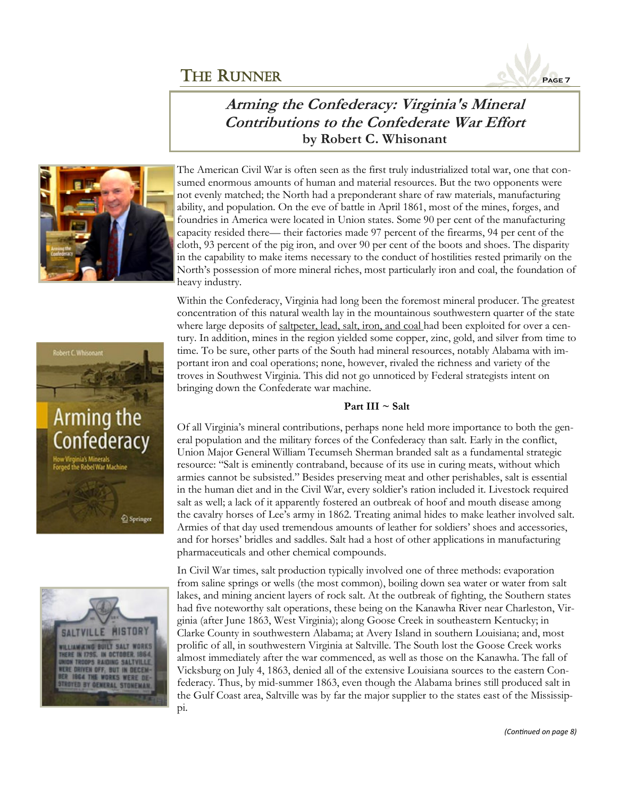

### **Arming the Confederacy: Virginia's Mineral Contributions to the Confederate War Effort by Robert C. Whisonant**



The American Civil War is often seen as the first truly industrialized total war, one that consumed enormous amounts of human and material resources. But the two opponents were not evenly matched; the North had a preponderant share of raw materials, manufacturing ability, and population. On the eve of battle in April 1861, most of the mines, forges, and foundries in America were located in Union states. Some 90 per cent of the manufacturing capacity resided there— their factories made 97 percent of the firearms, 94 per cent of the cloth, 93 percent of the pig iron, and over 90 per cent of the boots and shoes. The disparity in the capability to make items necessary to the conduct of hostilities rested primarily on the North's possession of more mineral riches, most particularly iron and coal, the foundation of heavy industry.

Within the Confederacy, Virginia had long been the foremost mineral producer. The greatest concentration of this natural wealth lay in the mountainous southwestern quarter of the state where large deposits of saltpeter, lead, salt, iron, and coal had been exploited for over a century. In addition, mines in the region yielded some copper, zinc, gold, and silver from time to time. To be sure, other parts of the South had mineral resources, notably Alabama with important iron and coal operations; none, however, rivaled the richness and variety of the troves in Southwest Virginia. This did not go unnoticed by Federal strategists intent on bringing down the Confederate war machine.

### **Part III ~ Salt**

Of all Virginia's mineral contributions, perhaps none held more importance to both the general population and the military forces of the Confederacy than salt. Early in the conflict, Union Major General William Tecumseh Sherman branded salt as a fundamental strategic resource: "Salt is eminently contraband, because of its use in curing meats, without which armies cannot be subsisted." Besides preserving meat and other perishables, salt is essential in the human diet and in the Civil War, every soldier's ration included it. Livestock required salt as well; a lack of it apparently fostered an outbreak of hoof and mouth disease among the cavalry horses of Lee's army in 1862. Treating animal hides to make leather involved salt. Armies of that day used tremendous amounts of leather for soldiers' shoes and accessories, and for horses' bridles and saddles. Salt had a host of other applications in manufacturing pharmaceuticals and other chemical compounds.

In Civil War times, salt production typically involved one of three methods: evaporation from saline springs or wells (the most common), boiling down sea water or water from salt lakes, and mining ancient layers of rock salt. At the outbreak of fighting, the Southern states had five noteworthy salt operations, these being on the Kanawha River near Charleston, Virginia (after June 1863, West Virginia); along Goose Creek in southeastern Kentucky; in Clarke County in southwestern Alabama; at Avery Island in southern Louisiana; and, most prolific of all, in southwestern Virginia at Saltville. The South lost the Goose Creek works almost immediately after the war commenced, as well as those on the Kanawha. The fall of Vicksburg on July 4, 1863, denied all of the extensive Louisiana sources to the eastern Confederacy. Thus, by mid-summer 1863, even though the Alabama brines still produced salt in the Gulf Coast area, Saltville was by far the major supplier to the states east of the Mississippi.



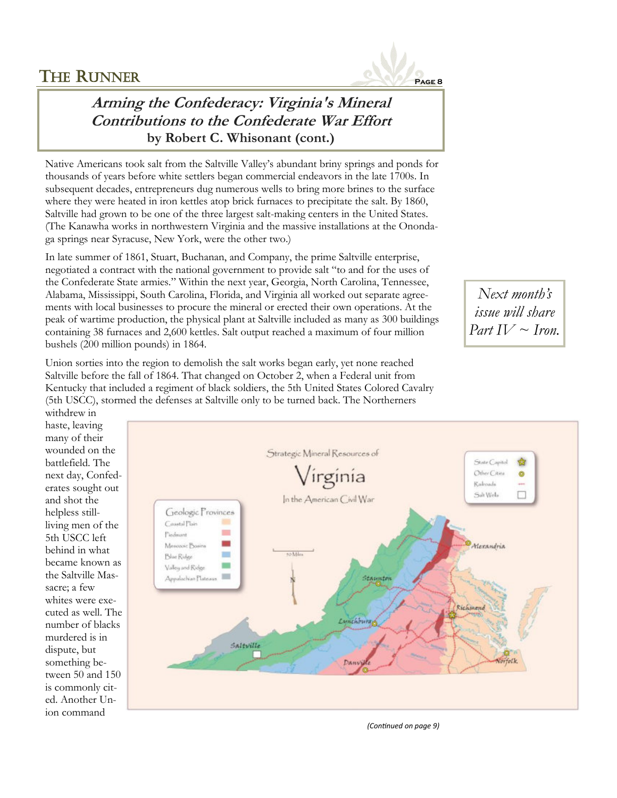

## **Arming the Confederacy: Virginia's Mineral Contributions to the Confederate War Effort by Robert C. Whisonant (cont.)**

Native Americans took salt from the Saltville Valley's abundant briny springs and ponds for thousands of years before white settlers began commercial endeavors in the late 1700s. In subsequent decades, entrepreneurs dug numerous wells to bring more brines to the surface where they were heated in iron kettles atop brick furnaces to precipitate the salt. By 1860, Saltville had grown to be one of the three largest salt-making centers in the United States. (The Kanawha works in northwestern Virginia and the massive installations at the Onondaga springs near Syracuse, New York, were the other two.)

In late summer of 1861, Stuart, Buchanan, and Company, the prime Saltville enterprise, negotiated a contract with the national government to provide salt "to and for the uses of the Confederate State armies." Within the next year, Georgia, North Carolina, Tennessee, Alabama, Mississippi, South Carolina, Florida, and Virginia all worked out separate agreements with local businesses to procure the mineral or erected their own operations. At the peak of wartime production, the physical plant at Saltville included as many as 300 buildings containing 38 furnaces and 2,600 kettles. Salt output reached a maximum of four million bushels (200 million pounds) in 1864.

Union sorties into the region to demolish the salt works began early, yet none reached Saltville before the fall of 1864. That changed on October 2, when a Federal unit from Kentucky that included a regiment of black soldiers, the 5th United States Colored Cavalry (5th USCC), stormed the defenses at Saltville only to be turned back. The Northerners

*Next month's issue will share Part IV ~ Iron.* 

withdrew in haste, leaving many of their wounded on the battlefield. The next day, Confederates sought out and shot the helpless stillliving men of the 5th USCC left behind in what became known as the Saltville Massacre; a few whites were executed as well. The number of blacks murdered is in dispute, but something between 50 and 150 is commonly cited. Another Union command



*(Continued on page 9)*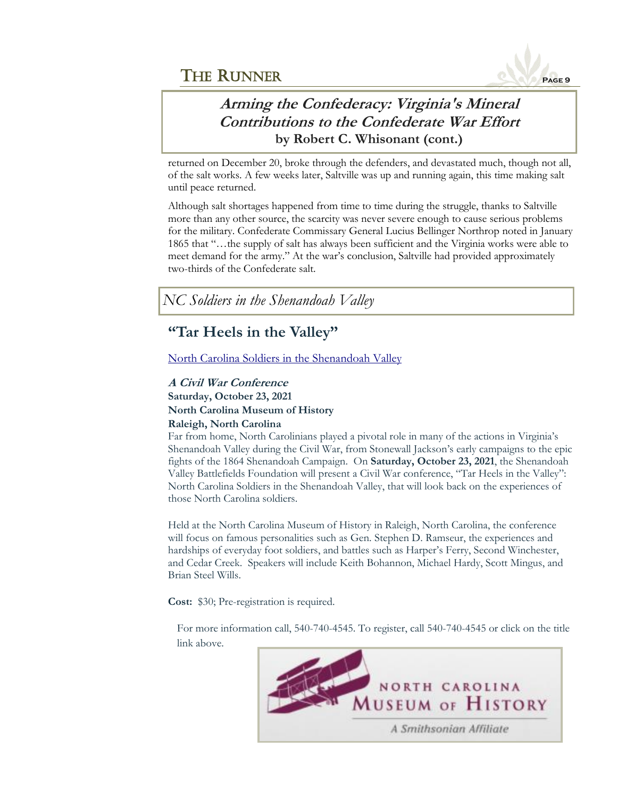

### **Arming the Confederacy: Virginia's Mineral Contributions to the Confederate War Effort by Robert C. Whisonant (cont.)**

returned on December 20, broke through the defenders, and devastated much, though not all, of the salt works. A few weeks later, Saltville was up and running again, this time making salt until peace returned.

Although salt shortages happened from time to time during the struggle, thanks to Saltville more than any other source, the scarcity was never severe enough to cause serious problems for the military. Confederate Commissary General Lucius Bellinger Northrop noted in January 1865 that "…the supply of salt has always been sufficient and the Virginia works were able to meet demand for the army." At the war's conclusion, Saltville had provided approximately two-thirds of the Confederate salt.

*NC Soldiers in the Shenandoah Valley*

# **"Tar Heels in the Valley"**

[North Carolina Soldiers in the Shenandoah Valley](https://www.shenandoahatwar.org/tar-heels-in-the-valley-a-civil-war-conference/)

### **A Civil War Conference Saturday, October 23, 2021 North Carolina Museum of History Raleigh, North Carolina**

Far from home, North Carolinians played a pivotal role in many of the actions in Virginia's Shenandoah Valley during the Civil War, from Stonewall Jackson's early campaigns to the epic fights of the 1864 Shenandoah Campaign. On **Saturday, October 23, 2021**, the Shenandoah Valley Battlefields Foundation will present a Civil War conference, "Tar Heels in the Valley": North Carolina Soldiers in the Shenandoah Valley, that will look back on the experiences of those North Carolina soldiers.

Held at the North Carolina Museum of History in Raleigh, North Carolina, the conference will focus on famous personalities such as Gen. Stephen D. Ramseur, the experiences and hardships of everyday foot soldiers, and battles such as Harper's Ferry, Second Winchester, and Cedar Creek. Speakers will include Keith Bohannon, Michael Hardy, Scott Mingus, and Brian Steel Wills.

**Cost:** \$30; Pre-registration is required.

For more information call, 540-740-4545. To register, call 540-740-4545 or click on the title link above.

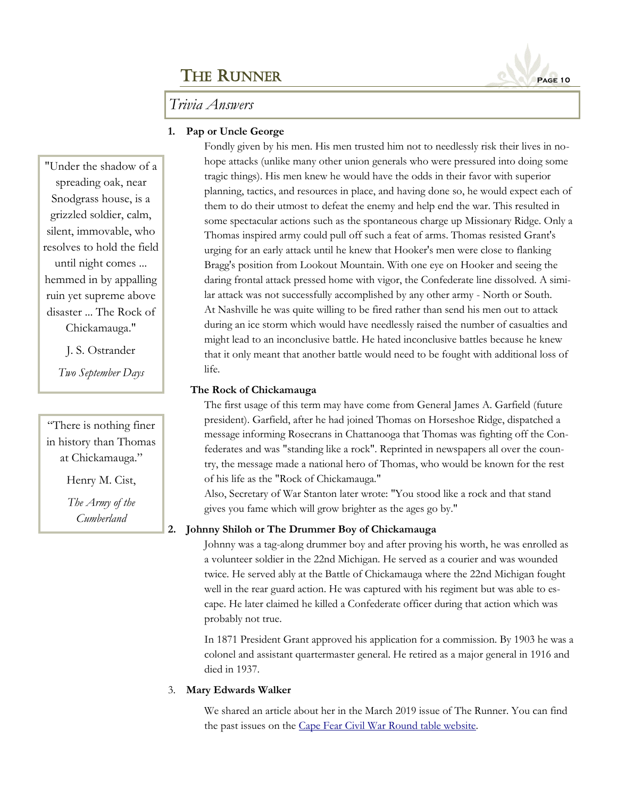### *Trivia Answers*

### **1. Pap or Uncle George**

Fondly given by his men. His men trusted him not to needlessly risk their lives in nohope attacks (unlike many other union generals who were pressured into doing some tragic things). His men knew he would have the odds in their favor with superior planning, tactics, and resources in place, and having done so, he would expect each of them to do their utmost to defeat the enemy and help end the war. This resulted in some spectacular actions such as the spontaneous charge up Missionary Ridge. Only a Thomas inspired army could pull off such a feat of arms. Thomas resisted Grant's urging for an early attack until he knew that Hooker's men were close to flanking Bragg's position from Lookout Mountain. With one eye on Hooker and seeing the daring frontal attack pressed home with vigor, the Confederate line dissolved. A similar attack was not successfully accomplished by any other army - North or South. At Nashville he was quite willing to be fired rather than send his men out to attack during an ice storm which would have needlessly raised the number of casualties and might lead to an inconclusive battle. He hated inconclusive battles because he knew that it only meant that another battle would need to be fought with additional loss of life.

#### **The Rock of Chickamauga**

The first usage of this term may have come from General James A. Garfield (future president). Garfield, after he had joined Thomas on Horseshoe Ridge, dispatched a message informing Rosecrans in Chattanooga that Thomas was fighting off the Confederates and was "standing like a rock". Reprinted in newspapers all over the country, the message made a national hero of Thomas, who would be known for the rest of his life as the "Rock of Chickamauga."

Also, Secretary of War Stanton later wrote: "You stood like a rock and that stand gives you fame which will grow brighter as the ages go by."

### **2. Johnny Shiloh or The Drummer Boy of Chickamauga**

Johnny was a tag-along drummer boy and after proving his worth, he was enrolled as a volunteer soldier in the 22nd Michigan. He served as a courier and was wounded twice. He served ably at the Battle of Chickamauga where the 22nd Michigan fought well in the rear guard action. He was captured with his regiment but was able to escape. He later claimed he killed a Confederate officer during that action which was probably not true.

In 1871 President Grant approved his application for a commission. By 1903 he was a colonel and assistant quartermaster general. He retired as a major general in 1916 and died in 1937.

### 3. **Mary Edwards Walker**

We shared an article about her in the March 2019 issue of The Runner. You can find the past issues on the [Cape Fear Civil War Round table website.](https://cfcwrt.org/Newsletters%202018-2019.html) 

"Under the shadow of a spreading oak, near Snodgrass house, is a grizzled soldier, calm, silent, immovable, who resolves to hold the field until night comes ... hemmed in by appalling ruin yet supreme above disaster ... The Rock of Chickamauga."

J. S. Ostrander

*Two September Days* 

"There is nothing finer in history than Thomas at Chickamauga."

Henry M. Cist,

*The Army of the Cumberland*

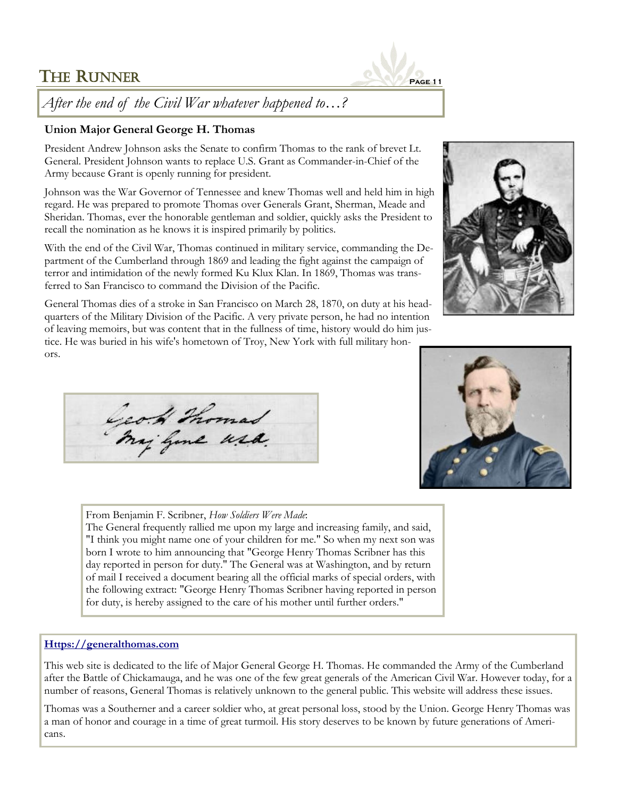

## *After the end of the Civil War whatever happened to…?*

### **Union Major General George H. Thomas**

President Andrew Johnson asks the Senate to confirm Thomas to the rank of brevet Lt. General. President Johnson wants to replace U.S. Grant as Commander-in-Chief of the Army because Grant is openly running for president.

Johnson was the War Governor of Tennessee and knew Thomas well and held him in high regard. He was prepared to promote Thomas over Generals Grant, Sherman, Meade and Sheridan. Thomas, ever the honorable gentleman and soldier, quickly asks the President to recall the nomination as he knows it is inspired primarily by politics.

With the end of the Civil War, Thomas continued in military service, commanding the Department of the Cumberland through 1869 and leading the fight against the campaign of terror and intimidation of the newly formed Ku Klux Klan. In 1869, Thomas was transferred to San Francisco to command the Division of the Pacific.

General Thomas dies of a stroke in San Francisco on March 28, 1870, on duty at his headquarters of the Military Division of the Pacific. A very private person, he had no intention of leaving memoirs, but was content that in the fullness of time, history would do him justice. He was buried in his wife's hometown of Troy, New York with full military honors.

Geo. H. Thomas



From Benjamin F. Scribner, *How Soldiers Were Made*:

The General frequently rallied me upon my large and increasing family, and said, "I think you might name one of your children for me." So when my next son was born I wrote to him announcing that "George Henry Thomas Scribner has this day reported in person for duty." The General was at Washington, and by return of mail I received a document bearing all the official marks of special orders, with the following extract: "George Henry Thomas Scribner having reported in person for duty, is hereby assigned to the care of his mother until further orders."

#### **[Https://generalthomas.com](https://generalthomas.com)**

This web site is dedicated to the life of Major General George H. Thomas. He commanded the Army of the Cumberland after the Battle of Chickamauga, and he was one of the few great generals of the American Civil War. However today, for a number of reasons, General Thomas is relatively unknown to the general public. This website will address these issues.

Thomas was a Southerner and a career soldier who, at great personal loss, stood by the Union. George Henry Thomas was a man of honor and courage in a time of great turmoil. His story deserves to be known by future generations of Americans.